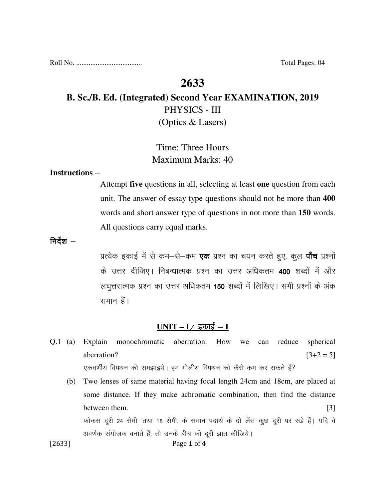Roll No. ..................................... Total Pages: 04

## **2633**

# **B. Sc./B. Ed. (Integrated) Second Year EXAMINATION, 2019**  PHYSICS - III (Optics & Lasers)

# Time: Three Hours Maximum Marks: 40

#### **Instructions** –

Attempt **five** questions in all, selecting at least **one** question from each unit. The answer of essay type questions should not be more than **400** words and short answer type of questions in not more than **150** words. All questions carry equal marks.

निर्देश $-$ 

प्रत्येक इकाई में से कम–से–कम **एक** प्रश्न का चयन करते हुए, कूल **पाँच** प्रश्नों के उत्तर दीजिए। निबन्धात्मक प्रश्न का उत्तर अधिकतम 400 शब्दों में और लघुत्तरात्मक प्रश्न का उत्तर अधिकतम 150 शब्दों में लिखिए। सभी प्रश्नों के अंक समान हैं।

### <u>UNIT – I / इकाई – I</u>

- Q.1 (a) Explain monochromatic aberration. How we can reduce spherical aberration?  $[3+2=5]$ एकवर्णीय विपथन को समझाइये। हम गोलीय विपथन को कैसे कम कर सकते हैं?
- [2633] **Page 1 of 4** (b) Two lenses of same material having focal length 24cm and 18cm, are placed at some distance. If they make achromatic combination, then find the distance between them. [3] फोकस दूरी 24 सेमी. तथा 18 सेमी. के समान पदार्थ के दो लेंस कुछ दूरी पर रखे हैं। यदि वे अवर्णक संयोजक बनाते हैं, तो उनके बीच की दूरी ज्ञात कीजिये।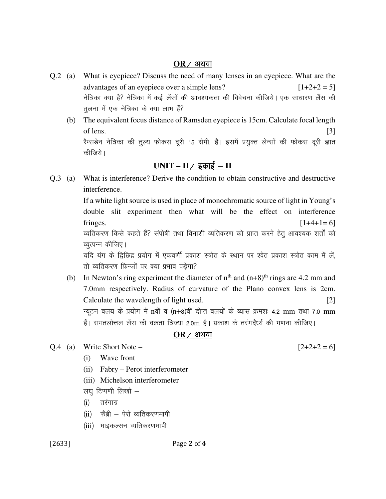#### $OR$  / अथवा

- Q.2 (a) What is eyepiece? Discuss the need of many lenses in an eyepiece. What are the advantages of an eyepiece over a simple lens?  $[1+2+2=5]$ नेत्रिका क्या है? नेत्रिका में कई लेंसों की आवश्यकता की विवेचना कीजिये। एक साधारण लैंस की तूलना में एक नेत्रिका के क्या लाभ हैं?
	- (b) The equivalent focus distance of Ramsden eyepiece is 15cm. Calculate focal length of lens.  $[3]$ रैम्सडेन नेत्रिका की तुल्य फोकस दूरी 15 सेमी. है। इसमें प्रयुक्त लेन्सों की फोकस दूरी ज्ञात कीजिये।

## $UNIT - II /$  इकाई – **II**

Q.3 (a) What is interference? Derive the condition to obtain constructive and destructive interference.

> If a white light source is used in place of monochromatic source of light in Young's double slit experiment then what will be the effect on interference fringes.  $[1+4+1=6]$ व्यतिकरण किसे कहते हैं? संपोषी तथा विनाशी व्यतिकरण को प्राप्त करने हेतु आवश्यक शर्तों को

> व्युत्पन्न कीजिए।

यदि यंग के द्विछिद्र प्रयोग में एकवर्णी प्रकाश स्त्रोत के स्थान पर श्वेत प्रकाश स्त्रोत काम में लें, तो व्यतिकरण फ्रिन्जों पर क्या प्रभाव पड़ेगा?

(b) In Newton's ring experiment the diameter of  $n<sup>th</sup>$  and  $(n+8)<sup>th</sup>$  rings are 4.2 mm and 7.0mm respectively. Radius of curvature of the Plano convex lens is 2cm. Calculate the wavelength of light used. [2] न्यूटन वलय के प्रयोग में nवीं व (n+8)वीं दीप्त वलयों के व्यास क्रमशः 4.2 mm तथा 7.0 mm हैं। समतलोत्तल लेंस की वक्रता त्रिज्या 2.0m है। प्रकाश के तरंगदैर्ध्य की गणना कीजिए।

#### $OR$  / अथवा

- $Q.4$  (a) Write Short Note  $[2+2+2=6]$ 
	- (i) Wave front
	- (ii) Fabry Perot interferometer
	- (iii) Michelson interferometer
	- लघु टिप्पणी लिखो –
	- (i) तरंगाग्र
	- $(ii)$  फेंब्री पेरो व्यतिकरणमापी
	- (iii) माइकल्सन व्यतिकरणमापी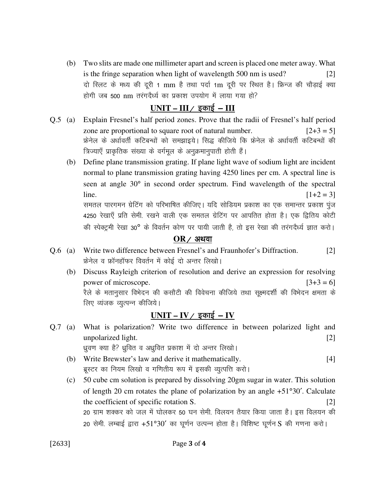(b) Two slits are made one millimeter apart and screen is placed one meter away. What is the fringe separation when light of wavelength 500 nm is used?  $|2|$ दो स्लिट के मध्य की दूरी 1 mm है तथा पर्दा 1m दूरी पर स्थित है। फ्रिन्ज की चौड़ाई क्या होगी जब 500 nm तरंगदैर्ध्य का प्रकाश उपयोग में लाया गया हो?

### $UNIT - III /$  इकाई - III

- Explain Fresnel's half period zones. Prove that the radii of Fresnel's half period  $Q.5$  (a) zone are proportional to square root of natural number.  $[2+3=5]$ फ्रेनेल के अर्धावर्ती कटिबन्धों को समझाइये। सिद्ध कीजिये कि फ्रेनेल के अर्धावर्ती कटिबन्धों की त्रिज्याएँ प्राकृतिक संख्या के वर्गमूल के अनुक्रमानुपाती होती हैं।
	- (b) Define plane transmission grating. If plane light wave of sodium light are incident normal to plane transmission grating having 4250 lines per cm. A spectral line is seen at angle 30° in second order spectrum. Find wavelength of the spectral line.  $[1+2=3]$ समतल पारगमन ग्रेटिंग को परिभाषित कीजिए। यदि सोडियम प्रकाश का एक समान्तर प्रकाश पूंज

4250 रेखाएँ प्रति सेमी. रखने वाली एक समतल ग्रेटिंग पर आपतित होता है। एक द्वितिय कोटी की स्पेक्ट्रमी रेखा 30° के विवर्तन कोण पर पायी जाती है, तो इस रेखा की तरंगदैर्ध्य ज्ञात करो।

#### $OR$  / अथवा

- Write two difference between Fresnel's and Fraunhofer's Diffraction.  $Q.6$  (a)  $\lceil 2 \rceil$ फ्रेनेल व फ्रॉनहॉफर विवर्तन में कोई दो अन्तर लिखो।
	- (b) Discuss Rayleigh criterion of resolution and derive an expression for resolving power of microscope.  $[3+3=6]$ रैले के मतानुसार विभेदन की कसौटी की विवेचना कीजिये तथा सूक्ष्मदर्शी की विभेदन क्षमता के लिए व्यंजक व्युत्पन्न कीजिये।

## $UNIT - IV /$  इकाई - IV

- What is polarization? Write two difference in between polarized light and  $Q.7$  (a) unpolarized light.  $\lceil 2 \rceil$ ध्रुवण क्या है? ध्रुवित व अध्रुवित प्रकाश में दो अन्तर लिखो।
	- (b) Write Brewster's law and derive it mathematically.  $[4]$ ब्रूस्टर का नियम लिखो व गणितीय रूप में इसकी व्युत्पत्ति करो।
	- (c) 50 cube cm solution is prepared by dissolving 20gm sugar in water. This solution of length 20 cm rotates the plane of polarization by an angle +51°30'. Calculate the coefficient of specific rotation S.  $\lceil 2 \rceil$ 20 ग्राम शक्कर को जल में घोलकर 50 घन सेमी. विलयन तैयार किया जाता है। इस विलयन की 20 सेमी. लम्बाई द्वारा +51°30' का घूर्णन उत्पन्न होता है। विशिष्ट घूर्णन S की गणना करो।